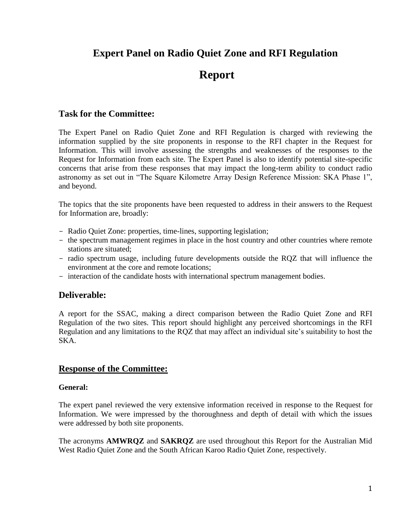# **Expert Panel on Radio Quiet Zone and RFI Regulation**

# **Report**

# **Task for the Committee:**

The Expert Panel on Radio Quiet Zone and RFI Regulation is charged with reviewing the information supplied by the site proponents in response to the RFI chapter in the Request for Information. This will involve assessing the strengths and weaknesses of the responses to the Request for Information from each site. The Expert Panel is also to identify potential site-specific concerns that arise from these responses that may impact the long-term ability to conduct radio astronomy as set out in "The Square Kilometre Array Design Reference Mission: SKA Phase 1", and beyond.

The topics that the site proponents have been requested to address in their answers to the Request for Information are, broadly:

- Radio Quiet Zone: properties, time-lines, supporting legislation;
- the spectrum management regimes in place in the host country and other countries where remote stations are situated;
- radio spectrum usage, including future developments outside the RQZ that will influence the environment at the core and remote locations;
- interaction of the candidate hosts with international spectrum management bodies.

# **Deliverable:**

A report for the SSAC, making a direct comparison between the Radio Quiet Zone and RFI Regulation of the two sites. This report should highlight any perceived shortcomings in the RFI Regulation and any limitations to the RQZ that may affect an individual site's suitability to host the SKA.

# **Response of the Committee:**

#### **General:**

The expert panel reviewed the very extensive information received in response to the Request for Information. We were impressed by the thoroughness and depth of detail with which the issues were addressed by both site proponents.

The acronyms **AMWRQZ** and **SAKRQZ** are used throughout this Report for the Australian Mid West Radio Quiet Zone and the South African Karoo Radio Quiet Zone, respectively.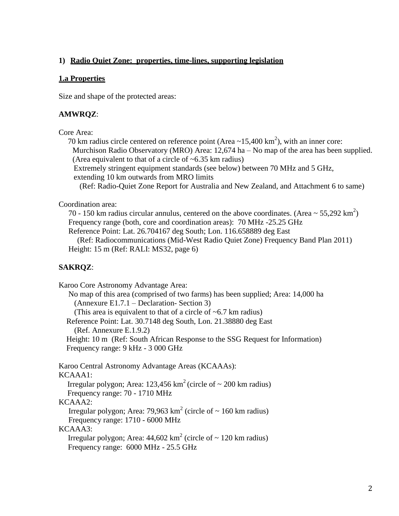#### **1) Radio Quiet Zone: properties, time-lines, supporting legislation**

#### **1.a Properties**

Size and shape of the protected areas:

#### **AMWRQZ**:

#### Core Area:

70 km radius circle centered on reference point (Area  $\sim$ 15,400 km<sup>2</sup>), with an inner core: Murchison Radio Observatory (MRO) Area: 12,674 ha – No map of the area has been supplied. (Area equivalent to that of a circle of  $\sim 6.35$  km radius) Extremely stringent equipment standards (see below) between 70 MHz and 5 GHz,

extending 10 km outwards from MRO limits

(Ref: Radio-Quiet Zone Report for Australia and New Zealand, and Attachment 6 to same)

Coordination area:

70 - 150 km radius circular annulus, centered on the above coordinates. (Area  $\sim$  55,292 km<sup>2</sup>) Frequency range (both, core and coordination areas): 70 MHz -25.25 GHz Reference Point: Lat. 26.704167 deg South; Lon. 116.658889 deg East

 (Ref: Radiocommunications (Mid-West Radio Quiet Zone) Frequency Band Plan 2011) Height: 15 m (Ref: RALI: MS32, page 6)

#### **SAKRQZ**:

Karoo Core Astronomy Advantage Area: No map of this area (comprised of two farms) has been supplied; Area: 14,000 ha (Annexure E1.7.1 – Declaration- Section 3) (This area is equivalent to that of a circle of  $\sim 6.7$  km radius) Reference Point: Lat. 30.7148 deg South, Lon. 21.38880 deg East (Ref. Annexure E.1.9.2) Height: 10 m (Ref: South African Response to the SSG Request for Information) Frequency range: 9 kHz - 3 000 GHz Karoo Central Astronomy Advantage Areas (KCAAAs): KCAAA1: Irregular polygon; Area: 123,456 km<sup>2</sup> (circle of  $\sim$  200 km radius) Frequency range: 70 - 1710 MHz KCAAA2: Irregular polygon; Area: 79,963 km<sup>2</sup> (circle of  $\sim 160$  km radius) Frequency range: 1710 - 6000 MHz KCAAA3: Irregular polygon; Area:  $44,602 \text{ km}^2$  (circle of  $\sim 120 \text{ km}$  radius) Frequency range: 6000 MHz - 25.5 GHz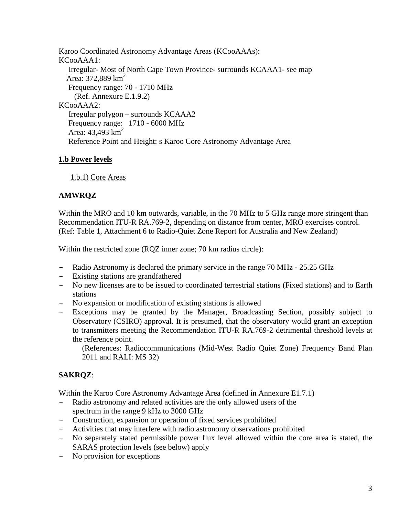Karoo Coordinated Astronomy Advantage Areas (KCooAAAs): KCooAAA1: Irregular- Most of North Cape Town Province- surrounds KCAAA1- see map Area:  $372,889$  km<sup>2</sup> Frequency range: 70 - 1710 MHz (Ref. Annexure E.1.9.2) KCooAAA2: Irregular polygon – surrounds KCAAA2 Frequency range: 1710 - 6000 MHz Area:  $43,493$  km<sup>2</sup> Reference Point and Height: s Karoo Core Astronomy Advantage Area

### **1.b Power levels**

1.b.1) Core Areas

# **AMWRQZ**

Within the MRO and 10 km outwards, variable, in the 70 MHz to 5 GHz range more stringent than Recommendation ITU-R RA.769-2, depending on distance from center, MRO exercises control. (Ref: Table 1, Attachment 6 to Radio-Quiet Zone Report for Australia and New Zealand)

Within the restricted zone (ROZ inner zone; 70 km radius circle):

- Radio Astronomy is declared the primary service in the range 70 MHz 25.25 GHz
- Existing stations are grandfathered
- No new licenses are to be issued to coordinated terrestrial stations (Fixed stations) and to Earth stations
- No expansion or modification of existing stations is allowed
- Exceptions may be granted by the Manager, Broadcasting Section, possibly subject to Observatory (CSIRO) approval. It is presumed, that the observatory would grant an exception to transmitters meeting the Recommendation ITU-R RA.769-2 detrimental threshold levels at the reference point.

(References: Radiocommunications (Mid-West Radio Quiet Zone) Frequency Band Plan 2011 and RALI: MS 32)

# **SAKRQZ**:

Within the Karoo Core Astronomy Advantage Area (defined in Annexure E1.7.1)

- Radio astronomy and related activities are the only allowed users of the spectrum in the range 9 kHz to 3000 GHz
- Construction, expansion or operation of fixed services prohibited
- Activities that may interfere with radio astronomy observations prohibited
- No separately stated permissible power flux level allowed within the core area is stated, the SARAS protection levels (see below) apply
- No provision for exceptions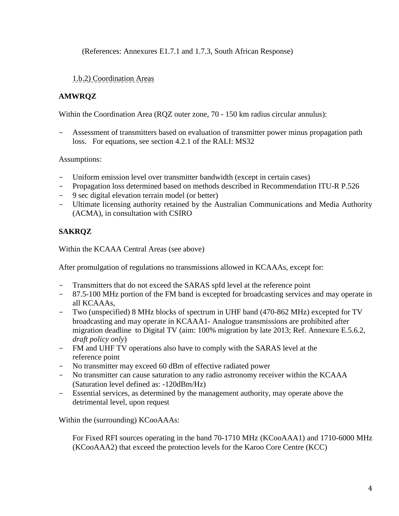(References: Annexures E1.7.1 and 1.7.3, South African Response)

## 1.b.2) Coordination Areas

# **AMWRQZ**

Within the Coordination Area (RQZ outer zone, 70 - 150 km radius circular annulus):

- Assessment of transmitters based on evaluation of transmitter power minus propagation path loss. For equations, see section 4.2.1 of the RALI: MS32

Assumptions:

- Uniform emission level over transmitter bandwidth (except in certain cases)
- Propagation loss determined based on methods described in Recommendation ITU-R P.526
- 9 sec digital elevation terrain model (or better)
- Ultimate licensing authority retained by the Australian Communications and Media Authority (ACMA), in consultation with CSIRO

# **SAKRQZ**

Within the KCAAA Central Areas (see above)

After promulgation of regulations no transmissions allowed in KCAAAs, except for:

- Transmitters that do not exceed the SARAS spfd level at the reference point
- 87.5-100 MHz portion of the FM band is excepted for broadcasting services and may operate in all KCAAAs,
- Two (unspecified) 8 MHz blocks of spectrum in UHF band (470-862 MHz) excepted for TV broadcasting and may operate in KCAAA1- Analogue transmissions are prohibited after migration deadline to Digital TV (aim: 100% migration by late 2013; Ref. Annexure E.5.6.2, *draft policy only*)
- FM and UHF TV operations also have to comply with the SARAS level at the reference point
- No transmitter may exceed 60 dBm of effective radiated power
- No transmitter can cause saturation to any radio astronomy receiver within the KCAAA (Saturation level defined as: -120dBm/Hz)
- Essential services, as determined by the management authority, may operate above the detrimental level, upon request

Within the (surrounding) KCooAAAs:

For Fixed RFI sources operating in the band 70-1710 MHz (KCooAAA1) and 1710-6000 MHz (KCooAAA2) that exceed the protection levels for the Karoo Core Centre (KCC)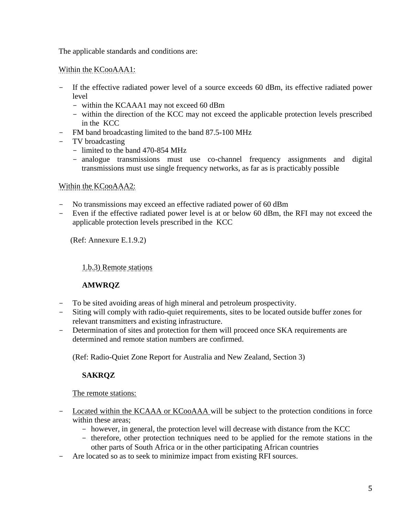The applicable standards and conditions are:

Within the KCooAAA1:

- If the effective radiated power level of a source exceeds 60 dBm, its effective radiated power level
	- within the KCAAA1 may not exceed 60 dBm
	- within the direction of the KCC may not exceed the applicable protection levels prescribed in the KCC
- FM band broadcasting limited to the band 87.5-100 MHz
- TV broadcasting
	- limited to the band 470-854 MHz
	- analogue transmissions must use co-channel frequency assignments and digital transmissions must use single frequency networks, as far as is practicably possible

# Within the KCooAAA2:

- No transmissions may exceed an effective radiated power of 60 dBm
- Even if the effective radiated power level is at or below 60 dBm, the RFI may not exceed the applicable protection levels prescribed in the KCC

(Ref: Annexure E.1.9.2)

1.b.3) Remote stations

# **AMWRQZ**

- To be sited avoiding areas of high mineral and petroleum prospectivity.
- Siting will comply with radio-quiet requirements, sites to be located outside buffer zones for relevant transmitters and existing infrastructure.
- Determination of sites and protection for them will proceed once SKA requirements are determined and remote station numbers are confirmed.

(Ref: Radio-Quiet Zone Report for Australia and New Zealand, Section 3)

# **SAKRQZ**

#### The remote stations:

- Located within the KCAAA or KCooAAA will be subject to the protection conditions in force within these areas;
	- however, in general, the protection level will decrease with distance from the KCC
	- therefore, other protection techniques need to be applied for the remote stations in the other parts of South Africa or in the other participating African countries
- Are located so as to seek to minimize impact from existing RFI sources.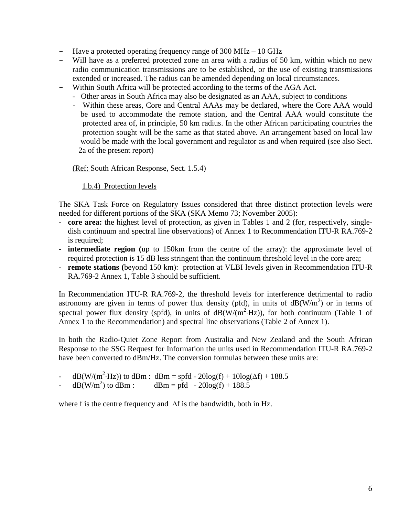- Have a protected operating frequency range of 300 MHz 10 GHz
- Will have as a preferred protected zone an area with a radius of 50 km, within which no new radio communication transmissions are to be established, or the use of existing transmissions extended or increased. The radius can be amended depending on local circumstances.
- Within South Africa will be protected according to the terms of the AGA Act.
	- Other areas in South Africa may also be designated as an AAA, subject to conditions
	- Within these areas, Core and Central AAAs may be declared, where the Core AAA would be used to accommodate the remote station, and the Central AAA would constitute the protected area of, in principle, 50 km radius. In the other African participating countries the protection sought will be the same as that stated above. An arrangement based on local law would be made with the local government and regulator as and when required (see also Sect. 2a of the present report)

(Ref: South African Response, Sect. 1.5.4)

#### 1.b.4) Protection levels

The SKA Task Force on Regulatory Issues considered that three distinct protection levels were needed for different portions of the SKA (SKA Memo 73; November 2005):

- **- core area:** the highest level of protection, as given in Tables 1 and 2 (for, respectively, singledish continuum and spectral line observations) of Annex 1 to Recommendation ITU-R RA.769-2 is required;
- **- intermediate region (**up to 150km from the centre of the array): the approximate level of required protection is 15 dB less stringent than the continuum threshold level in the core area;
- **- remote stations (**beyond 150 km): protection at VLBI levels given in Recommendation ITU-R RA.769-2 Annex 1, Table 3 should be sufficient.

In Recommendation ITU-R RA.769-2, the threshold levels for interference detrimental to radio astronomy are given in terms of power flux density (pfd), in units of  $dB(W/m<sup>2</sup>)$  or in terms of spectral power flux density (spfd), in units of  $dB(W/(m^2·Hz))$ , for both continuum (Table 1 of Annex 1 to the Recommendation) and spectral line observations (Table 2 of Annex 1).

In both the Radio-Quiet Zone Report from Australia and New Zealand and the South African Response to the SSG Request for Information the units used in Recommendation ITU-R RA.769-2 have been converted to dBm/Hz. The conversion formulas between these units are:

- **-** dB(W/(m<sup>2</sup>·Hz)) to dBm : dBm = spfd 20log(f) + 10log( $\Delta$ f) + 188.5
- $dB(W/m^2)$  to  $dBm$  :  $dBm = pfd - 20log(f) + 188.5$

where f is the centre frequency and  $\Delta f$  is the bandwidth, both in Hz.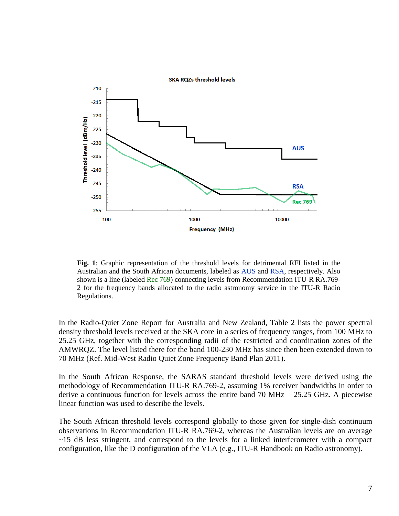

**Fig. 1**: Graphic representation of the threshold levels for detrimental RFI listed in the Australian and the South African documents, labeled as AUS and RSA, respectively. Also shown is a line (labeled Rec 769) connecting levels from Recommendation ITU-R RA.769- 2 for the frequency bands allocated to the radio astronomy service in the ITU-R Radio Regulations.

In the Radio-Quiet Zone Report for Australia and New Zealand, Table 2 lists the power spectral density threshold levels received at the SKA core in a series of frequency ranges, from 100 MHz to 25.25 GHz, together with the corresponding radii of the restricted and coordination zones of the AMWRQZ. The level listed there for the band 100-230 MHz has since then been extended down to 70 MHz (Ref. Mid-West Radio Quiet Zone Frequency Band Plan 2011).

In the South African Response, the SARAS standard threshold levels were derived using the methodology of Recommendation ITU-R RA.769-2, assuming 1% receiver bandwidths in order to derive a continuous function for levels across the entire band  $70 \text{ MHz} - 25.25 \text{ GHz}$ . A piecewise linear function was used to describe the levels.

The South African threshold levels correspond globally to those given for single-dish continuum observations in Recommendation ITU-R RA.769-2, whereas the Australian levels are on average  $\sim$ 15 dB less stringent, and correspond to the levels for a linked interferometer with a compact configuration, like the D configuration of the VLA (e.g., ITU-R Handbook on Radio astronomy).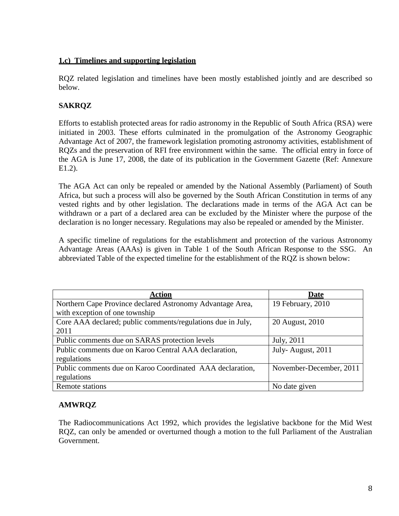#### **1.c) Timelines and supporting legislation**

RQZ related legislation and timelines have been mostly established jointly and are described so below.

### **SAKRQZ**

Efforts to establish protected areas for radio astronomy in the Republic of South Africa (RSA) were initiated in 2003. These efforts culminated in the promulgation of the Astronomy Geographic Advantage Act of 2007, the framework legislation promoting astronomy activities, establishment of RQZs and the preservation of RFI free environment within the same. The official entry in force of the AGA is June 17, 2008, the date of its publication in the Government Gazette (Ref: Annexure E1.2).

The AGA Act can only be repealed or amended by the National Assembly (Parliament) of South Africa, but such a process will also be governed by the South African Constitution in terms of any vested rights and by other legislation. The declarations made in terms of the AGA Act can be withdrawn or a part of a declared area can be excluded by the Minister where the purpose of the declaration is no longer necessary. Regulations may also be repealed or amended by the Minister.

A specific timeline of regulations for the establishment and protection of the various Astronomy Advantage Areas (AAAs) is given in Table 1 of the South African Response to the SSG. An abbreviated Table of the expected timeline for the establishment of the RQZ is shown below:

| <b>Action</b>                                               | <b>Date</b>             |
|-------------------------------------------------------------|-------------------------|
| Northern Cape Province declared Astronomy Advantage Area,   | 19 February, 2010       |
| with exception of one township                              |                         |
| Core AAA declared; public comments/regulations due in July, | 20 August, 2010         |
| 2011                                                        |                         |
| Public comments due on SARAS protection levels              | July, 2011              |
| Public comments due on Karoo Central AAA declaration,       | July-August, 2011       |
| regulations                                                 |                         |
| Public comments due on Karoo Coordinated AAA declaration,   | November-December, 2011 |
| regulations                                                 |                         |
| Remote stations                                             | No date given           |

# **AMWRQZ**

The Radiocommunications Act 1992, which provides the legislative backbone for the Mid West RQZ, can only be amended or overturned though a motion to the full Parliament of the Australian Government.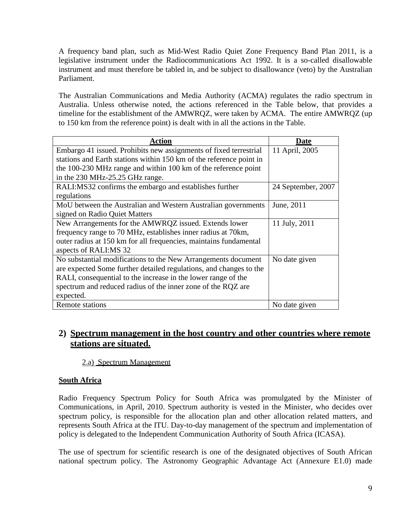A frequency band plan, such as Mid-West Radio Quiet Zone Frequency Band Plan 2011, is a legislative instrument under the Radiocommunications Act 1992. It is a so-called disallowable instrument and must therefore be tabled in, and be subject to disallowance (veto) by the Australian Parliament.

The Australian Communications and Media Authority (ACMA) regulates the radio spectrum in Australia. Unless otherwise noted, the actions referenced in the Table below, that provides a timeline for the establishment of the AMWRQZ, were taken by ACMA. The entire AMWRQZ (up to 150 km from the reference point) is dealt with in all the actions in the Table.

| <b>Action</b>                                                       | Date               |
|---------------------------------------------------------------------|--------------------|
| Embargo 41 issued. Prohibits new assignments of fixed terrestrial   | 11 April, 2005     |
| stations and Earth stations within 150 km of the reference point in |                    |
| the 100-230 MHz range and within 100 km of the reference point      |                    |
| in the 230 MHz-25.25 GHz range.                                     |                    |
| RALI:MS32 confirms the embargo and establishes further              | 24 September, 2007 |
| regulations                                                         |                    |
| MoU between the Australian and Western Australian governments       | June, 2011         |
| signed on Radio Quiet Matters                                       |                    |
| New Arrangements for the AMWRQZ issued. Extends lower               | 11 July, 2011      |
| frequency range to 70 MHz, establishes inner radius at 70 km,       |                    |
| outer radius at 150 km for all frequencies, maintains fundamental   |                    |
| aspects of RALI:MS 32                                               |                    |
| No substantial modifications to the New Arrangements document       | No date given      |
| are expected Some further detailed regulations, and changes to the  |                    |
| RALI, consequential to the increase in the lower range of the       |                    |
| spectrum and reduced radius of the inner zone of the RQZ are        |                    |
| expected.                                                           |                    |
| Remote stations                                                     | No date given      |

# **2) Spectrum management in the host country and other countries where remote stations are situated.**

#### 2.a) Spectrum Management

#### **South Africa**

Radio Frequency Spectrum Policy for South Africa was promulgated by the Minister of Communications, in April, 2010. Spectrum authority is vested in the Minister, who decides over spectrum policy, is responsible for the allocation plan and other allocation related matters, and represents South Africa at the ITU. Day-to-day management of the spectrum and implementation of policy is delegated to the Independent Communication Authority of South Africa (ICASA).

The use of spectrum for scientific research is one of the designated objectives of South African national spectrum policy. The Astronomy Geographic Advantage Act (Annexure E1.0) made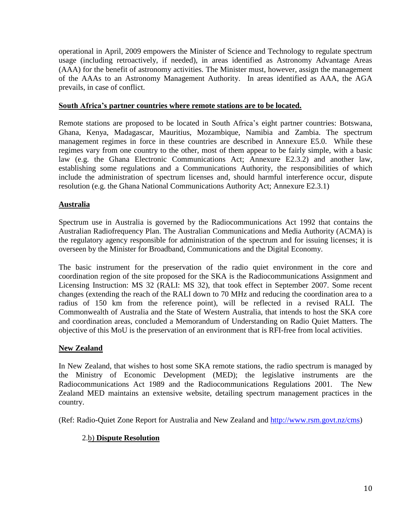operational in April, 2009 empowers the Minister of Science and Technology to regulate spectrum usage (including retroactively, if needed), in areas identified as Astronomy Advantage Areas (AAA) for the benefit of astronomy activities. The Minister must, however, assign the management of the AAAs to an Astronomy Management Authority. In areas identified as AAA, the AGA prevails, in case of conflict.

#### **South Africa's partner countries where remote stations are to be located.**

Remote stations are proposed to be located in South Africa's eight partner countries: Botswana, Ghana, Kenya, Madagascar, Mauritius, Mozambique, Namibia and Zambia. The spectrum management regimes in force in these countries are described in Annexure E5.0. While these regimes vary from one country to the other, most of them appear to be fairly simple, with a basic law (e.g. the Ghana Electronic Communications Act; Annexure E2.3.2) and another law, establishing some regulations and a Communications Authority, the responsibilities of which include the administration of spectrum licenses and, should harmful interference occur, dispute resolution (e.g. the Ghana National Communications Authority Act; Annexure E2.3.1)

#### **Australia**

Spectrum use in Australia is governed by the Radiocommunications Act 1992 that contains the Australian Radiofrequency Plan. The Australian Communications and Media Authority (ACMA) is the regulatory agency responsible for administration of the spectrum and for issuing licenses; it is overseen by the Minister for Broadband, Communications and the Digital Economy.

The basic instrument for the preservation of the radio quiet environment in the core and coordination region of the site proposed for the SKA is the Radiocommunications Assignment and Licensing Instruction: MS 32 (RALI: MS 32), that took effect in September 2007. Some recent changes (extending the reach of the RALI down to 70 MHz and reducing the coordination area to a radius of 150 km from the reference point), will be reflected in a revised RALI. The Commonwealth of Australia and the State of Western Australia, that intends to host the SKA core and coordination areas, concluded a Memorandum of Understanding on Radio Quiet Matters. The objective of this MoU is the preservation of an environment that is RFI-free from local activities.

#### **New Zealand**

In New Zealand, that wishes to host some SKA remote stations, the radio spectrum is managed by the Ministry of Economic Development (MED); the legislative instruments are the Radiocommunications Act 1989 and the Radiocommunications Regulations 2001. The New Zealand MED maintains an extensive website, detailing spectrum management practices in the country.

(Ref: Radio-Quiet Zone Report for Australia and New Zealand and [http://www.rsm.govt.nz/cms\)](http://www.rsm.govt.nz/cms)

#### 2.b) **Dispute Resolution**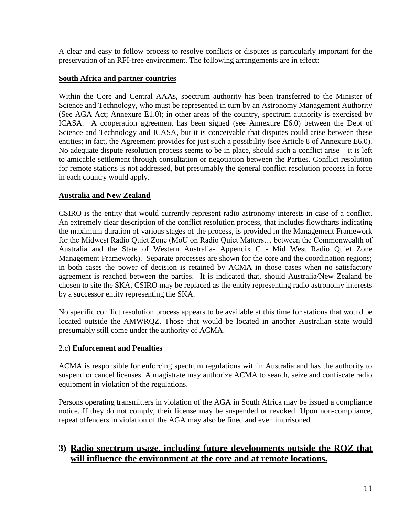A clear and easy to follow process to resolve conflicts or disputes is particularly important for the preservation of an RFI-free environment. The following arrangements are in effect:

## **South Africa and partner countries**

Within the Core and Central AAAs, spectrum authority has been transferred to the Minister of Science and Technology, who must be represented in turn by an Astronomy Management Authority (See AGA Act; Annexure E1.0); in other areas of the country, spectrum authority is exercised by ICASA. A cooperation agreement has been signed (see Annexure E6.0) between the Dept of Science and Technology and ICASA, but it is conceivable that disputes could arise between these entities; in fact, the Agreement provides for just such a possibility (see Article 8 of Annexure E6.0). No adequate dispute resolution process seems to be in place, should such a conflict arise – it is left to amicable settlement through consultation or negotiation between the Parties. Conflict resolution for remote stations is not addressed, but presumably the general conflict resolution process in force in each country would apply.

# **Australia and New Zealand**

CSIRO is the entity that would currently represent radio astronomy interests in case of a conflict. An extremely clear description of the conflict resolution process, that includes flowcharts indicating the maximum duration of various stages of the process, is provided in the Management Framework for the Midwest Radio Quiet Zone (MoU on Radio Quiet Matters… between the Commonwealth of Australia and the State of Western Australia- Appendix C - Mid West Radio Quiet Zone Management Framework). Separate processes are shown for the core and the coordination regions; in both cases the power of decision is retained by ACMA in those cases when no satisfactory agreement is reached between the parties. It is indicated that, should Australia/New Zealand be chosen to site the SKA, CSIRO may be replaced as the entity representing radio astronomy interests by a successor entity representing the SKA.

No specific conflict resolution process appears to be available at this time for stations that would be located outside the AMWRQZ. Those that would be located in another Australian state would presumably still come under the authority of ACMA.

#### 2.c) **Enforcement and Penalties**

ACMA is responsible for enforcing spectrum regulations within Australia and has the authority to suspend or cancel licenses. A magistrate may authorize ACMA to search, seize and confiscate radio equipment in violation of the regulations.

Persons operating transmitters in violation of the AGA in South Africa may be issued a compliance notice. If they do not comply, their license may be suspended or revoked. Upon non-compliance, repeat offenders in violation of the AGA may also be fined and even imprisoned

# **3) Radio spectrum usage, including future developments outside the RQZ that will influence the environment at the core and at remote locations.**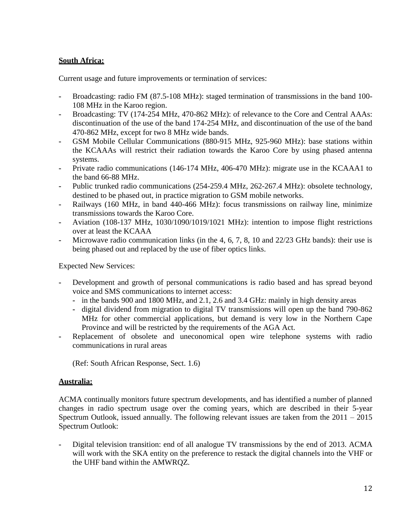# **South Africa:**

Current usage and future improvements or termination of services:

- **-** Broadcasting: radio FM (87.5-108 MHz): staged termination of transmissions in the band 100- 108 MHz in the Karoo region.
- **-** Broadcasting: TV (174-254 MHz, 470-862 MHz): of relevance to the Core and Central AAAs: discontinuation of the use of the band 174-254 MHz, and discontinuation of the use of the band 470-862 MHz, except for two 8 MHz wide bands.
- **-** GSM Mobile Cellular Communications (880-915 MHz, 925-960 MHz): base stations within the KCAAAs will restrict their radiation towards the Karoo Core by using phased antenna systems.
- **-** Private radio communications (146-174 MHz, 406-470 MHz): migrate use in the KCAAA1 to the band 66-88 MHz.
- **-** Public trunked radio communications (254-259.4 MHz, 262-267.4 MHz): obsolete technology, destined to be phased out, in practice migration to GSM mobile networks.
- **-** Railways (160 MHz, in band 440-466 MHz): focus transmissions on railway line, minimize transmissions towards the Karoo Core.
- **-** Aviation (108-137 MHz, 1030/1090/1019/1021 MHz): intention to impose flight restrictions over at least the KCAAA
- **-** Microwave radio communication links (in the 4, 6, 7, 8, 10 and 22/23 GHz bands): their use is being phased out and replaced by the use of fiber optics links.

Expected New Services:

- **-** Development and growth of personal communications is radio based and has spread beyond voice and SMS communications to internet access:
	- **-** in the bands 900 and 1800 MHz, and 2.1, 2.6 and 3.4 GHz: mainly in high density areas
	- **-** digital dividend from migration to digital TV transmissions will open up the band 790-862 MHz for other commercial applications, but demand is very low in the Northern Cape Province and will be restricted by the requirements of the AGA Act.
- **-** Replacement of obsolete and uneconomical open wire telephone systems with radio communications in rural areas

(Ref: South African Response, Sect. 1.6)

# **Australia:**

ACMA continually monitors future spectrum developments, and has identified a number of planned changes in radio spectrum usage over the coming years, which are described in their 5-year Spectrum Outlook, issued annually. The following relevant issues are taken from the 2011 – 2015 Spectrum Outlook:

**-** Digital television transition: end of all analogue TV transmissions by the end of 2013. ACMA will work with the SKA entity on the preference to restack the digital channels into the VHF or the UHF band within the AMWRQZ.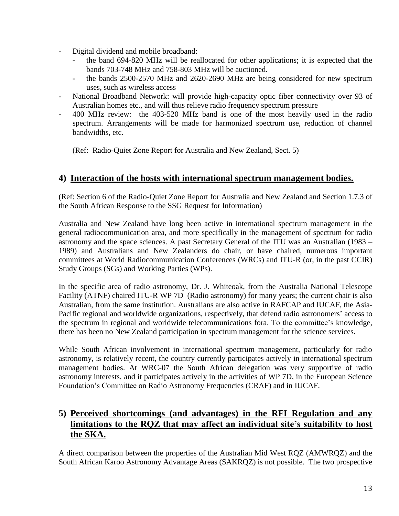- **-** Digital dividend and mobile broadband:
	- **-** the band 694-820 MHz will be reallocated for other applications; it is expected that the bands 703-748 MHz and 758-803 MHz will be auctioned.
	- **-** the bands 2500-2570 MHz and 2620-2690 MHz are being considered for new spectrum uses, such as wireless access
- **-** National Broadband Network: will provide high-capacity optic fiber connectivity over 93 of Australian homes etc., and will thus relieve radio frequency spectrum pressure
- **-** 400 MHz review: the 403-520 MHz band is one of the most heavily used in the radio spectrum. Arrangements will be made for harmonized spectrum use, reduction of channel bandwidths, etc.

(Ref: Radio-Quiet Zone Report for Australia and New Zealand, Sect. 5)

# **4) Interaction of the hosts with international spectrum management bodies.**

(Ref: Section 6 of the Radio-Quiet Zone Report for Australia and New Zealand and Section 1.7.3 of the South African Response to the SSG Request for Information)

Australia and New Zealand have long been active in international spectrum management in the general radiocommunication area, and more specifically in the management of spectrum for radio astronomy and the space sciences. A past Secretary General of the ITU was an Australian (1983 – 1989) and Australians and New Zealanders do chair, or have chaired, numerous important committees at World Radiocommunication Conferences (WRCs) and ITU-R (or, in the past CCIR) Study Groups (SGs) and Working Parties (WPs).

In the specific area of radio astronomy, Dr. J. Whiteoak, from the Australia National Telescope Facility (ATNF) chaired ITU-R WP 7D (Radio astronomy) for many years; the current chair is also Australian, from the same institution. Australians are also active in RAFCAP and IUCAF, the Asia-Pacific regional and worldwide organizations, respectively, that defend radio astronomers' access to the spectrum in regional and worldwide telecommunications fora. To the committee's knowledge, there has been no New Zealand participation in spectrum management for the science services.

While South African involvement in international spectrum management, particularly for radio astronomy, is relatively recent, the country currently participates actively in international spectrum management bodies. At WRC-07 the South African delegation was very supportive of radio astronomy interests, and it participates actively in the activities of WP 7D, in the European Science Foundation's Committee on Radio Astronomy Frequencies (CRAF) and in IUCAF.

# **5) Perceived shortcomings (and advantages) in the RFI Regulation and any limitations to the RQZ that may affect an individual site's suitability to host the SKA.**

A direct comparison between the properties of the Australian Mid West RQZ (AMWRQZ) and the South African Karoo Astronomy Advantage Areas (SAKRQZ) is not possible. The two prospective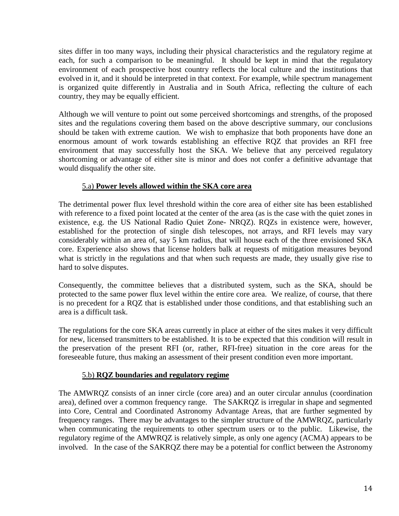sites differ in too many ways, including their physical characteristics and the regulatory regime at each, for such a comparison to be meaningful. It should be kept in mind that the regulatory environment of each prospective host country reflects the local culture and the institutions that evolved in it, and it should be interpreted in that context. For example, while spectrum management is organized quite differently in Australia and in South Africa, reflecting the culture of each country, they may be equally efficient.

Although we will venture to point out some perceived shortcomings and strengths, of the proposed sites and the regulations covering them based on the above descriptive summary, our conclusions should be taken with extreme caution. We wish to emphasize that both proponents have done an enormous amount of work towards establishing an effective RQZ that provides an RFI free environment that may successfully host the SKA. We believe that any perceived regulatory shortcoming or advantage of either site is minor and does not confer a definitive advantage that would disqualify the other site.

### 5.a) **Power levels allowed within the SKA core area**

The detrimental power flux level threshold within the core area of either site has been established with reference to a fixed point located at the center of the area (as is the case with the quiet zones in existence, e.g. the US National Radio Quiet Zone- NRQZ). RQZs in existence were, however, established for the protection of single dish telescopes, not arrays, and RFI levels may vary considerably within an area of, say 5 km radius, that will house each of the three envisioned SKA core. Experience also shows that license holders balk at requests of mitigation measures beyond what is strictly in the regulations and that when such requests are made, they usually give rise to hard to solve disputes.

Consequently, the committee believes that a distributed system, such as the SKA, should be protected to the same power flux level within the entire core area. We realize, of course, that there is no precedent for a RQZ that is established under those conditions, and that establishing such an area is a difficult task.

The regulations for the core SKA areas currently in place at either of the sites makes it very difficult for new, licensed transmitters to be established. It is to be expected that this condition will result in the preservation of the present RFI (or, rather, RFI-free) situation in the core areas for the foreseeable future, thus making an assessment of their present condition even more important.

#### 5.b) **RQZ boundaries and regulatory regime**

The AMWRQZ consists of an inner circle (core area) and an outer circular annulus (coordination area), defined over a common frequency range. The SAKRQZ is irregular in shape and segmented into Core, Central and Coordinated Astronomy Advantage Areas, that are further segmented by frequency ranges. There may be advantages to the simpler structure of the AMWRQZ, particularly when communicating the requirements to other spectrum users or to the public. Likewise, the regulatory regime of the AMWRQZ is relatively simple, as only one agency (ACMA) appears to be involved. In the case of the SAKRQZ there may be a potential for conflict between the Astronomy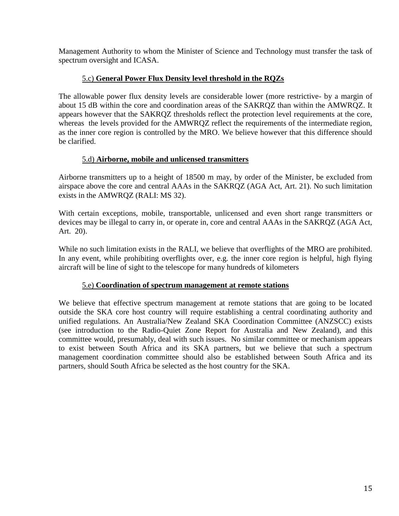Management Authority to whom the Minister of Science and Technology must transfer the task of spectrum oversight and ICASA.

### 5.c) **General Power Flux Density level threshold in the RQZs**

The allowable power flux density levels are considerable lower (more restrictive- by a margin of about 15 dB within the core and coordination areas of the SAKRQZ than within the AMWRQZ. It appears however that the SAKRQZ thresholds reflect the protection level requirements at the core, whereas the levels provided for the AMWRQZ reflect the requirements of the intermediate region, as the inner core region is controlled by the MRO. We believe however that this difference should be clarified.

### 5.d) **Airborne, mobile and unlicensed transmitters**

Airborne transmitters up to a height of 18500 m may, by order of the Minister, be excluded from airspace above the core and central AAAs in the SAKRQZ (AGA Act, Art. 21). No such limitation exists in the AMWRQZ (RALI: MS 32).

With certain exceptions, mobile, transportable, unlicensed and even short range transmitters or devices may be illegal to carry in, or operate in, core and central AAAs in the SAKRQZ (AGA Act, Art. 20).

While no such limitation exists in the RALI, we believe that overflights of the MRO are prohibited. In any event, while prohibiting overflights over, e.g. the inner core region is helpful, high flying aircraft will be line of sight to the telescope for many hundreds of kilometers

#### 5.e) **Coordination of spectrum management at remote stations**

We believe that effective spectrum management at remote stations that are going to be located outside the SKA core host country will require establishing a central coordinating authority and unified regulations. An Australia/New Zealand SKA Coordination Committee (ANZSCC) exists (see introduction to the Radio-Quiet Zone Report for Australia and New Zealand), and this committee would, presumably, deal with such issues. No similar committee or mechanism appears to exist between South Africa and its SKA partners, but we believe that such a spectrum management coordination committee should also be established between South Africa and its partners, should South Africa be selected as the host country for the SKA.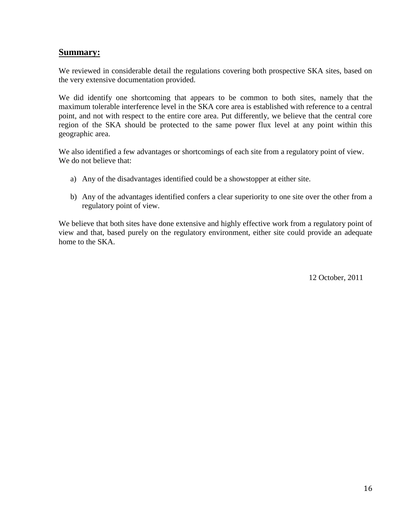# **Summary:**

We reviewed in considerable detail the regulations covering both prospective SKA sites, based on the very extensive documentation provided.

We did identify one shortcoming that appears to be common to both sites, namely that the maximum tolerable interference level in the SKA core area is established with reference to a central point, and not with respect to the entire core area. Put differently, we believe that the central core region of the SKA should be protected to the same power flux level at any point within this geographic area.

We also identified a few advantages or shortcomings of each site from a regulatory point of view. We do not believe that:

- a) Any of the disadvantages identified could be a showstopper at either site.
- b) Any of the advantages identified confers a clear superiority to one site over the other from a regulatory point of view.

We believe that both sites have done extensive and highly effective work from a regulatory point of view and that, based purely on the regulatory environment, either site could provide an adequate home to the SKA.

12 October, 2011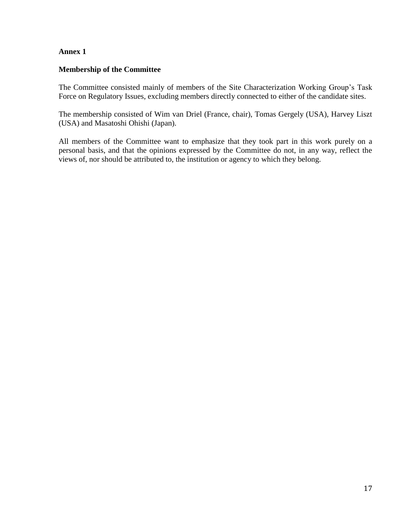#### **Annex 1**

#### **Membership of the Committee**

The Committee consisted mainly of members of the Site Characterization Working Group's Task Force on Regulatory Issues, excluding members directly connected to either of the candidate sites.

The membership consisted of Wim van Driel (France, chair), Tomas Gergely (USA), Harvey Liszt (USA) and Masatoshi Ohishi (Japan).

All members of the Committee want to emphasize that they took part in this work purely on a personal basis, and that the opinions expressed by the Committee do not, in any way, reflect the views of, nor should be attributed to, the institution or agency to which they belong.